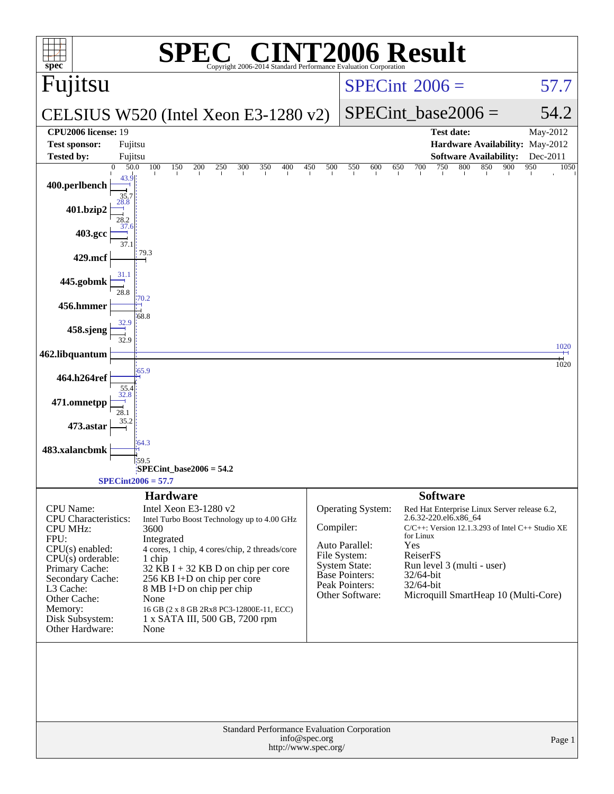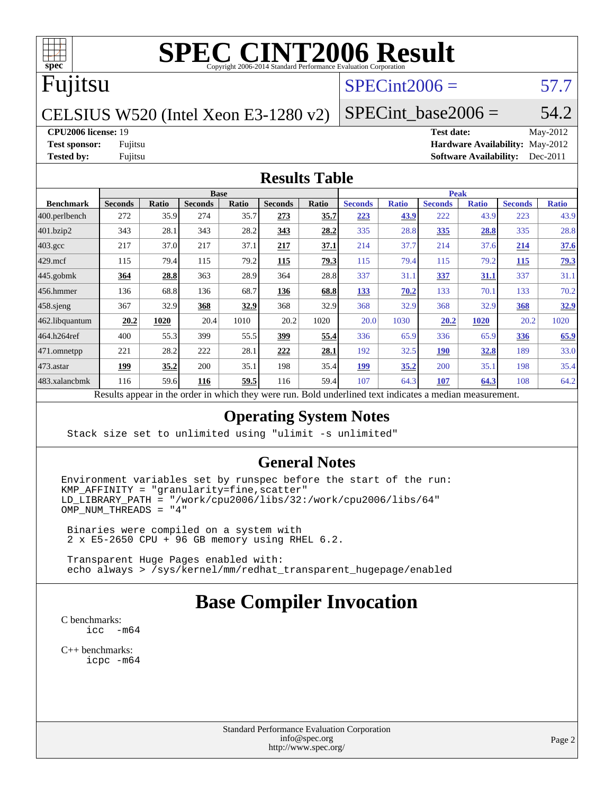

## Fujitsu

### $SPECint2006 = 57.7$  $SPECint2006 = 57.7$

#### CELSIUS W520 (Intel Xeon E3-1280 v2)

#### SPECint base2006 =  $54.2$

#### **[CPU2006 license:](http://www.spec.org/auto/cpu2006/Docs/result-fields.html#CPU2006license)** 19 **[Test date:](http://www.spec.org/auto/cpu2006/Docs/result-fields.html#Testdate)** May-2012

**[Test sponsor:](http://www.spec.org/auto/cpu2006/Docs/result-fields.html#Testsponsor)** Fujitsu **[Hardware Availability:](http://www.spec.org/auto/cpu2006/Docs/result-fields.html#HardwareAvailability)** May-2012 **[Tested by:](http://www.spec.org/auto/cpu2006/Docs/result-fields.html#Testedby)** Fujitsu **[Software Availability:](http://www.spec.org/auto/cpu2006/Docs/result-fields.html#SoftwareAvailability)** Dec-2011

#### **[Results Table](http://www.spec.org/auto/cpu2006/Docs/result-fields.html#ResultsTable)**

|                   | <b>Base</b>                                                           |       |                |              |                |       | <b>Peak</b>                                        |              |                |              |                |              |
|-------------------|-----------------------------------------------------------------------|-------|----------------|--------------|----------------|-------|----------------------------------------------------|--------------|----------------|--------------|----------------|--------------|
| <b>Benchmark</b>  | <b>Seconds</b>                                                        | Ratio | <b>Seconds</b> | <b>Ratio</b> | <b>Seconds</b> | Ratio | <b>Seconds</b>                                     | <b>Ratio</b> | <b>Seconds</b> | <b>Ratio</b> | <b>Seconds</b> | <b>Ratio</b> |
| $ 400$ .perlbench | 272                                                                   | 35.9  | 274            | 35.7         | 273            | 35.7  | 223                                                | 43.9         | 222            | 43.9         | 223            | 43.9         |
| 401.bzip2         | 343                                                                   | 28.1  | 343            | 28.2         | 343            | 28.2  | 335                                                | 28.8         | <u>335</u>     | 28.8         | 335            | 28.8         |
| 403.gcc           | 217                                                                   | 37.0  | 217            | 37.1         | 217            | 37.1  | 214                                                | 37.7         | 214            | 37.6         | 214            | 37.6         |
| $429$ mcf         | 115                                                                   | 79.4  | 115            | 79.2         | 115            | 79.3  | 115                                                | 79.4         | 115            | 79.2         | 115            | 79.3         |
| $445$ .gobmk      | 364                                                                   | 28.8  | 363            | 28.9         | 364            | 28.8  | 337                                                | 31.1         | 337            | 31.1         | 337            | 31.1         |
| 456.hmmer         | 136                                                                   | 68.8  | 136            | 68.7         | 136            | 68.8  | 133                                                | 70.2         | 133            | 70.1         | 133            | 70.2         |
| $458$ .sjeng      | 367                                                                   | 32.9  | 368            | 32.9         | 368            | 32.9  | 368                                                | 32.9         | 368            | 32.9         | 368            | 32.9         |
| 462.libquantum    | 20.2                                                                  | 1020  | 20.4           | 1010         | 20.2           | 1020  | 20.0                                               | 1030         | 20.2           | 1020         | 20.2           | 1020         |
| 464.h264ref       | 400                                                                   | 55.3  | 399            | 55.5         | 399            | 55.4  | 336                                                | 65.9         | 336            | 65.9         | 336            | 65.9         |
| 471.omnetpp       | 221                                                                   | 28.2  | 222            | 28.1         | 222            | 28.1  | 192                                                | 32.5         | <u>190</u>     | <u>32.8</u>  | 189            | 33.0         |
| $ 473$ . astar    | 199                                                                   | 35.2  | 200            | 35.1         | 198            | 35.4  | 199                                                | 35.2         | 200            | 35.1         | 198            | 35.4         |
| 483.xalancbmk     | 116                                                                   | 59.6  | 116            | 59.5         | 116            | 59.4  | 107                                                | 64.3         | 107            | 64.3         | 108            | 64.2         |
|                   | Describe announced to the conduction of the theory of the second more |       |                |              |                |       | Deld and called to all the total control a madison |              |                |              |                |              |

Results appear in the [order in which they were run.](http://www.spec.org/auto/cpu2006/Docs/result-fields.html#RunOrder) Bold underlined text [indicates a median measurement.](http://www.spec.org/auto/cpu2006/Docs/result-fields.html#Median)

#### **[Operating System Notes](http://www.spec.org/auto/cpu2006/Docs/result-fields.html#OperatingSystemNotes)**

Stack size set to unlimited using "ulimit -s unlimited"

#### **[General Notes](http://www.spec.org/auto/cpu2006/Docs/result-fields.html#GeneralNotes)**

Environment variables set by runspec before the start of the run:  $KMP_AFFINITY = "granularity=fine, scatter"$ LD\_LIBRARY\_PATH = "/work/cpu2006/libs/32:/work/cpu2006/libs/64" OMP\_NUM\_THREADS = "4"

 Binaries were compiled on a system with 2 x E5-2650 CPU + 96 GB memory using RHEL 6.2.

 Transparent Huge Pages enabled with: echo always > /sys/kernel/mm/redhat\_transparent\_hugepage/enabled

### **[Base Compiler Invocation](http://www.spec.org/auto/cpu2006/Docs/result-fields.html#BaseCompilerInvocation)**

[C benchmarks](http://www.spec.org/auto/cpu2006/Docs/result-fields.html#Cbenchmarks): [icc -m64](http://www.spec.org/cpu2006/results/res2012q3/cpu2006-20120615-22892.flags.html#user_CCbase_intel_icc_64bit_f346026e86af2a669e726fe758c88044)

[C++ benchmarks:](http://www.spec.org/auto/cpu2006/Docs/result-fields.html#CXXbenchmarks) [icpc -m64](http://www.spec.org/cpu2006/results/res2012q3/cpu2006-20120615-22892.flags.html#user_CXXbase_intel_icpc_64bit_fc66a5337ce925472a5c54ad6a0de310)

> Standard Performance Evaluation Corporation [info@spec.org](mailto:info@spec.org) <http://www.spec.org/>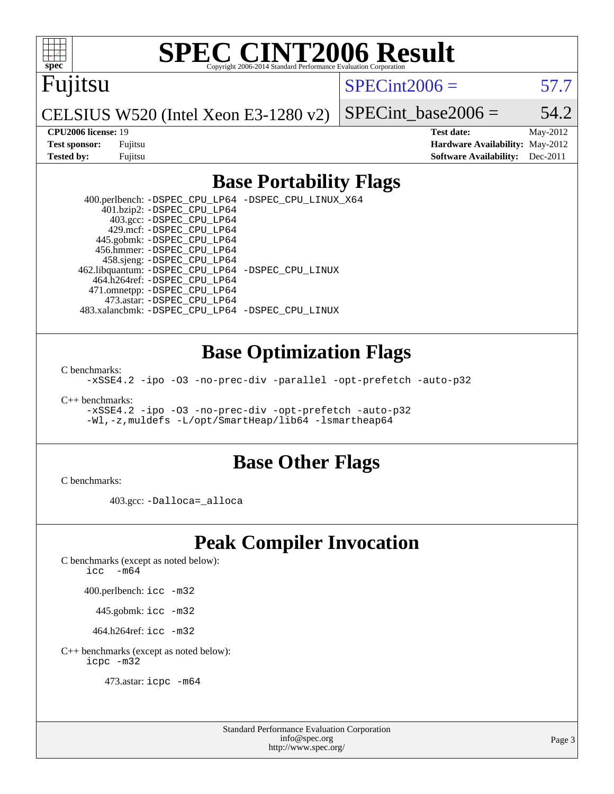Fujitsu

 $SPECint2006 = 57.7$  $SPECint2006 = 57.7$ 

CELSIUS W520 (Intel Xeon E3-1280 v2)

SPECint base2006 =  $54.2$ 

**[CPU2006 license:](http://www.spec.org/auto/cpu2006/Docs/result-fields.html#CPU2006license)** 19 **[Test date:](http://www.spec.org/auto/cpu2006/Docs/result-fields.html#Testdate)** May-2012 **[Test sponsor:](http://www.spec.org/auto/cpu2006/Docs/result-fields.html#Testsponsor)** Fujitsu **[Hardware Availability:](http://www.spec.org/auto/cpu2006/Docs/result-fields.html#HardwareAvailability)** May-2012 **[Tested by:](http://www.spec.org/auto/cpu2006/Docs/result-fields.html#Testedby)** Fujitsu **Fugital Example 2011 [Software Availability:](http://www.spec.org/auto/cpu2006/Docs/result-fields.html#SoftwareAvailability)** Dec-2011

### **[Base Portability Flags](http://www.spec.org/auto/cpu2006/Docs/result-fields.html#BasePortabilityFlags)**

 400.perlbench: [-DSPEC\\_CPU\\_LP64](http://www.spec.org/cpu2006/results/res2012q3/cpu2006-20120615-22892.flags.html#b400.perlbench_basePORTABILITY_DSPEC_CPU_LP64) [-DSPEC\\_CPU\\_LINUX\\_X64](http://www.spec.org/cpu2006/results/res2012q3/cpu2006-20120615-22892.flags.html#b400.perlbench_baseCPORTABILITY_DSPEC_CPU_LINUX_X64) 401.bzip2: [-DSPEC\\_CPU\\_LP64](http://www.spec.org/cpu2006/results/res2012q3/cpu2006-20120615-22892.flags.html#suite_basePORTABILITY401_bzip2_DSPEC_CPU_LP64) 403.gcc: [-DSPEC\\_CPU\\_LP64](http://www.spec.org/cpu2006/results/res2012q3/cpu2006-20120615-22892.flags.html#suite_basePORTABILITY403_gcc_DSPEC_CPU_LP64) 429.mcf: [-DSPEC\\_CPU\\_LP64](http://www.spec.org/cpu2006/results/res2012q3/cpu2006-20120615-22892.flags.html#suite_basePORTABILITY429_mcf_DSPEC_CPU_LP64) 445.gobmk: [-DSPEC\\_CPU\\_LP64](http://www.spec.org/cpu2006/results/res2012q3/cpu2006-20120615-22892.flags.html#suite_basePORTABILITY445_gobmk_DSPEC_CPU_LP64) 456.hmmer: [-DSPEC\\_CPU\\_LP64](http://www.spec.org/cpu2006/results/res2012q3/cpu2006-20120615-22892.flags.html#suite_basePORTABILITY456_hmmer_DSPEC_CPU_LP64) 458.sjeng: [-DSPEC\\_CPU\\_LP64](http://www.spec.org/cpu2006/results/res2012q3/cpu2006-20120615-22892.flags.html#suite_basePORTABILITY458_sjeng_DSPEC_CPU_LP64) 462.libquantum: [-DSPEC\\_CPU\\_LP64](http://www.spec.org/cpu2006/results/res2012q3/cpu2006-20120615-22892.flags.html#suite_basePORTABILITY462_libquantum_DSPEC_CPU_LP64) [-DSPEC\\_CPU\\_LINUX](http://www.spec.org/cpu2006/results/res2012q3/cpu2006-20120615-22892.flags.html#b462.libquantum_baseCPORTABILITY_DSPEC_CPU_LINUX) 464.h264ref: [-DSPEC\\_CPU\\_LP64](http://www.spec.org/cpu2006/results/res2012q3/cpu2006-20120615-22892.flags.html#suite_basePORTABILITY464_h264ref_DSPEC_CPU_LP64) 471.omnetpp: [-DSPEC\\_CPU\\_LP64](http://www.spec.org/cpu2006/results/res2012q3/cpu2006-20120615-22892.flags.html#suite_basePORTABILITY471_omnetpp_DSPEC_CPU_LP64) 473.astar: [-DSPEC\\_CPU\\_LP64](http://www.spec.org/cpu2006/results/res2012q3/cpu2006-20120615-22892.flags.html#suite_basePORTABILITY473_astar_DSPEC_CPU_LP64) 483.xalancbmk: [-DSPEC\\_CPU\\_LP64](http://www.spec.org/cpu2006/results/res2012q3/cpu2006-20120615-22892.flags.html#suite_basePORTABILITY483_xalancbmk_DSPEC_CPU_LP64) [-DSPEC\\_CPU\\_LINUX](http://www.spec.org/cpu2006/results/res2012q3/cpu2006-20120615-22892.flags.html#b483.xalancbmk_baseCXXPORTABILITY_DSPEC_CPU_LINUX)

### **[Base Optimization Flags](http://www.spec.org/auto/cpu2006/Docs/result-fields.html#BaseOptimizationFlags)**

[C benchmarks](http://www.spec.org/auto/cpu2006/Docs/result-fields.html#Cbenchmarks):

[-xSSE4.2](http://www.spec.org/cpu2006/results/res2012q3/cpu2006-20120615-22892.flags.html#user_CCbase_f-xSSE42_f91528193cf0b216347adb8b939d4107) [-ipo](http://www.spec.org/cpu2006/results/res2012q3/cpu2006-20120615-22892.flags.html#user_CCbase_f-ipo) [-O3](http://www.spec.org/cpu2006/results/res2012q3/cpu2006-20120615-22892.flags.html#user_CCbase_f-O3) [-no-prec-div](http://www.spec.org/cpu2006/results/res2012q3/cpu2006-20120615-22892.flags.html#user_CCbase_f-no-prec-div) [-parallel](http://www.spec.org/cpu2006/results/res2012q3/cpu2006-20120615-22892.flags.html#user_CCbase_f-parallel) [-opt-prefetch](http://www.spec.org/cpu2006/results/res2012q3/cpu2006-20120615-22892.flags.html#user_CCbase_f-opt-prefetch) [-auto-p32](http://www.spec.org/cpu2006/results/res2012q3/cpu2006-20120615-22892.flags.html#user_CCbase_f-auto-p32)

[C++ benchmarks:](http://www.spec.org/auto/cpu2006/Docs/result-fields.html#CXXbenchmarks)

[-xSSE4.2](http://www.spec.org/cpu2006/results/res2012q3/cpu2006-20120615-22892.flags.html#user_CXXbase_f-xSSE42_f91528193cf0b216347adb8b939d4107) [-ipo](http://www.spec.org/cpu2006/results/res2012q3/cpu2006-20120615-22892.flags.html#user_CXXbase_f-ipo) [-O3](http://www.spec.org/cpu2006/results/res2012q3/cpu2006-20120615-22892.flags.html#user_CXXbase_f-O3) [-no-prec-div](http://www.spec.org/cpu2006/results/res2012q3/cpu2006-20120615-22892.flags.html#user_CXXbase_f-no-prec-div) [-opt-prefetch](http://www.spec.org/cpu2006/results/res2012q3/cpu2006-20120615-22892.flags.html#user_CXXbase_f-opt-prefetch) [-auto-p32](http://www.spec.org/cpu2006/results/res2012q3/cpu2006-20120615-22892.flags.html#user_CXXbase_f-auto-p32) [-Wl,-z,muldefs](http://www.spec.org/cpu2006/results/res2012q3/cpu2006-20120615-22892.flags.html#user_CXXbase_link_force_multiple1_74079c344b956b9658436fd1b6dd3a8a) [-L/opt/SmartHeap/lib64 -lsmartheap64](http://www.spec.org/cpu2006/results/res2012q3/cpu2006-20120615-22892.flags.html#user_CXXbase_SmartHeap64_266ceb2583dc48f7c0309f7f0a158901)

#### **[Base Other Flags](http://www.spec.org/auto/cpu2006/Docs/result-fields.html#BaseOtherFlags)**

[C benchmarks](http://www.spec.org/auto/cpu2006/Docs/result-fields.html#Cbenchmarks):

403.gcc: [-Dalloca=\\_alloca](http://www.spec.org/cpu2006/results/res2012q3/cpu2006-20120615-22892.flags.html#b403.gcc_baseEXTRA_CFLAGS_Dalloca_be3056838c12de2578596ca5467af7f3)

## **[Peak Compiler Invocation](http://www.spec.org/auto/cpu2006/Docs/result-fields.html#PeakCompilerInvocation)**

[C benchmarks \(except as noted below\)](http://www.spec.org/auto/cpu2006/Docs/result-fields.html#Cbenchmarksexceptasnotedbelow):

icc  $-m64$ 

400.perlbench: [icc -m32](http://www.spec.org/cpu2006/results/res2012q3/cpu2006-20120615-22892.flags.html#user_peakCCLD400_perlbench_intel_icc_a6a621f8d50482236b970c6ac5f55f93)

445.gobmk: [icc -m32](http://www.spec.org/cpu2006/results/res2012q3/cpu2006-20120615-22892.flags.html#user_peakCCLD445_gobmk_intel_icc_a6a621f8d50482236b970c6ac5f55f93)

464.h264ref: [icc -m32](http://www.spec.org/cpu2006/results/res2012q3/cpu2006-20120615-22892.flags.html#user_peakCCLD464_h264ref_intel_icc_a6a621f8d50482236b970c6ac5f55f93)

[C++ benchmarks \(except as noted below\):](http://www.spec.org/auto/cpu2006/Docs/result-fields.html#CXXbenchmarksexceptasnotedbelow) [icpc -m32](http://www.spec.org/cpu2006/results/res2012q3/cpu2006-20120615-22892.flags.html#user_CXXpeak_intel_icpc_4e5a5ef1a53fd332b3c49e69c3330699)

473.astar: [icpc -m64](http://www.spec.org/cpu2006/results/res2012q3/cpu2006-20120615-22892.flags.html#user_peakCXXLD473_astar_intel_icpc_64bit_fc66a5337ce925472a5c54ad6a0de310)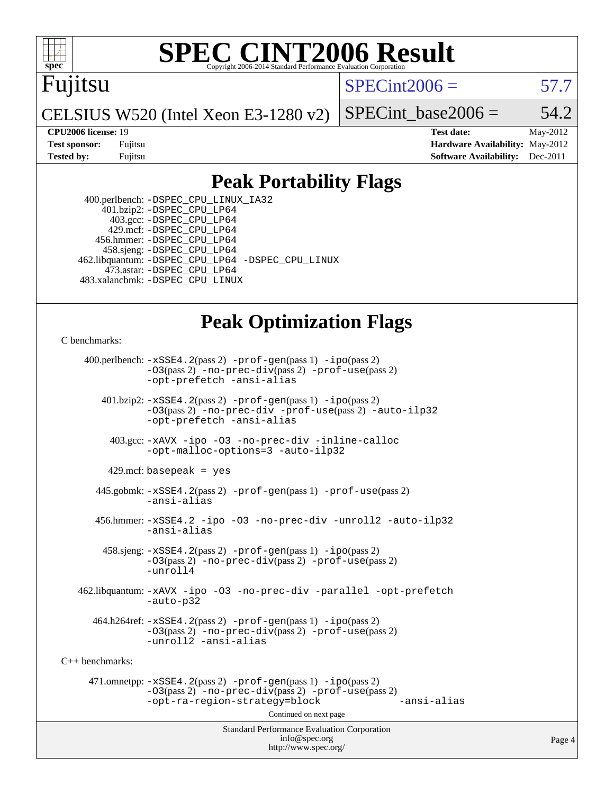

### Fujitsu

 $SPECint2006 = 57.7$  $SPECint2006 = 57.7$ 

CELSIUS W520 (Intel Xeon E3-1280 v2)

SPECint base2006 =  $54.2$ 

**[CPU2006 license:](http://www.spec.org/auto/cpu2006/Docs/result-fields.html#CPU2006license)** 19 **[Test date:](http://www.spec.org/auto/cpu2006/Docs/result-fields.html#Testdate)** May-2012 **[Test sponsor:](http://www.spec.org/auto/cpu2006/Docs/result-fields.html#Testsponsor)** Fujitsu **[Hardware Availability:](http://www.spec.org/auto/cpu2006/Docs/result-fields.html#HardwareAvailability)** May-2012 **[Tested by:](http://www.spec.org/auto/cpu2006/Docs/result-fields.html#Testedby)** Fujitsu **[Software Availability:](http://www.spec.org/auto/cpu2006/Docs/result-fields.html#SoftwareAvailability)** Dec-2011

### **[Peak Portability Flags](http://www.spec.org/auto/cpu2006/Docs/result-fields.html#PeakPortabilityFlags)**

 400.perlbench: [-DSPEC\\_CPU\\_LINUX\\_IA32](http://www.spec.org/cpu2006/results/res2012q3/cpu2006-20120615-22892.flags.html#b400.perlbench_peakCPORTABILITY_DSPEC_CPU_LINUX_IA32) 401.bzip2: [-DSPEC\\_CPU\\_LP64](http://www.spec.org/cpu2006/results/res2012q3/cpu2006-20120615-22892.flags.html#suite_peakPORTABILITY401_bzip2_DSPEC_CPU_LP64) 403.gcc: [-DSPEC\\_CPU\\_LP64](http://www.spec.org/cpu2006/results/res2012q3/cpu2006-20120615-22892.flags.html#suite_peakPORTABILITY403_gcc_DSPEC_CPU_LP64) 429.mcf: [-DSPEC\\_CPU\\_LP64](http://www.spec.org/cpu2006/results/res2012q3/cpu2006-20120615-22892.flags.html#suite_peakPORTABILITY429_mcf_DSPEC_CPU_LP64) 456.hmmer: [-DSPEC\\_CPU\\_LP64](http://www.spec.org/cpu2006/results/res2012q3/cpu2006-20120615-22892.flags.html#suite_peakPORTABILITY456_hmmer_DSPEC_CPU_LP64) 458.sjeng: [-DSPEC\\_CPU\\_LP64](http://www.spec.org/cpu2006/results/res2012q3/cpu2006-20120615-22892.flags.html#suite_peakPORTABILITY458_sjeng_DSPEC_CPU_LP64) 462.libquantum: [-DSPEC\\_CPU\\_LP64](http://www.spec.org/cpu2006/results/res2012q3/cpu2006-20120615-22892.flags.html#suite_peakPORTABILITY462_libquantum_DSPEC_CPU_LP64) [-DSPEC\\_CPU\\_LINUX](http://www.spec.org/cpu2006/results/res2012q3/cpu2006-20120615-22892.flags.html#b462.libquantum_peakCPORTABILITY_DSPEC_CPU_LINUX) 473.astar: [-DSPEC\\_CPU\\_LP64](http://www.spec.org/cpu2006/results/res2012q3/cpu2006-20120615-22892.flags.html#suite_peakPORTABILITY473_astar_DSPEC_CPU_LP64) 483.xalancbmk: [-DSPEC\\_CPU\\_LINUX](http://www.spec.org/cpu2006/results/res2012q3/cpu2006-20120615-22892.flags.html#b483.xalancbmk_peakCXXPORTABILITY_DSPEC_CPU_LINUX)

## **[Peak Optimization Flags](http://www.spec.org/auto/cpu2006/Docs/result-fields.html#PeakOptimizationFlags)**

[C benchmarks](http://www.spec.org/auto/cpu2006/Docs/result-fields.html#Cbenchmarks):

Standard Performance Evaluation Corporation [info@spec.org](mailto:info@spec.org) 400.perlbench: [-xSSE4.2](http://www.spec.org/cpu2006/results/res2012q3/cpu2006-20120615-22892.flags.html#user_peakPASS2_CFLAGSPASS2_LDCFLAGS400_perlbench_f-xSSE42_f91528193cf0b216347adb8b939d4107)(pass 2) [-prof-gen](http://www.spec.org/cpu2006/results/res2012q3/cpu2006-20120615-22892.flags.html#user_peakPASS1_CFLAGSPASS1_LDCFLAGS400_perlbench_prof_gen_e43856698f6ca7b7e442dfd80e94a8fc)(pass 1) [-ipo](http://www.spec.org/cpu2006/results/res2012q3/cpu2006-20120615-22892.flags.html#user_peakPASS2_CFLAGSPASS2_LDCFLAGS400_perlbench_f-ipo)(pass 2) [-O3](http://www.spec.org/cpu2006/results/res2012q3/cpu2006-20120615-22892.flags.html#user_peakPASS2_CFLAGSPASS2_LDCFLAGS400_perlbench_f-O3)(pass 2) [-no-prec-div](http://www.spec.org/cpu2006/results/res2012q3/cpu2006-20120615-22892.flags.html#user_peakPASS2_CFLAGSPASS2_LDCFLAGS400_perlbench_f-no-prec-div)(pass 2) [-prof-use](http://www.spec.org/cpu2006/results/res2012q3/cpu2006-20120615-22892.flags.html#user_peakPASS2_CFLAGSPASS2_LDCFLAGS400_perlbench_prof_use_bccf7792157ff70d64e32fe3e1250b55)(pass 2) [-opt-prefetch](http://www.spec.org/cpu2006/results/res2012q3/cpu2006-20120615-22892.flags.html#user_peakCOPTIMIZE400_perlbench_f-opt-prefetch) [-ansi-alias](http://www.spec.org/cpu2006/results/res2012q3/cpu2006-20120615-22892.flags.html#user_peakCOPTIMIZE400_perlbench_f-ansi-alias) 401.bzip2: [-xSSE4.2](http://www.spec.org/cpu2006/results/res2012q3/cpu2006-20120615-22892.flags.html#user_peakPASS2_CFLAGSPASS2_LDCFLAGS401_bzip2_f-xSSE42_f91528193cf0b216347adb8b939d4107)(pass 2) [-prof-gen](http://www.spec.org/cpu2006/results/res2012q3/cpu2006-20120615-22892.flags.html#user_peakPASS1_CFLAGSPASS1_LDCFLAGS401_bzip2_prof_gen_e43856698f6ca7b7e442dfd80e94a8fc)(pass 1) [-ipo](http://www.spec.org/cpu2006/results/res2012q3/cpu2006-20120615-22892.flags.html#user_peakPASS2_CFLAGSPASS2_LDCFLAGS401_bzip2_f-ipo)(pass 2) [-O3](http://www.spec.org/cpu2006/results/res2012q3/cpu2006-20120615-22892.flags.html#user_peakPASS2_CFLAGSPASS2_LDCFLAGS401_bzip2_f-O3)(pass 2) [-no-prec-div](http://www.spec.org/cpu2006/results/res2012q3/cpu2006-20120615-22892.flags.html#user_peakCOPTIMIZEPASS2_CFLAGSPASS2_LDCFLAGS401_bzip2_f-no-prec-div) [-prof-use](http://www.spec.org/cpu2006/results/res2012q3/cpu2006-20120615-22892.flags.html#user_peakPASS2_CFLAGSPASS2_LDCFLAGS401_bzip2_prof_use_bccf7792157ff70d64e32fe3e1250b55)(pass 2) [-auto-ilp32](http://www.spec.org/cpu2006/results/res2012q3/cpu2006-20120615-22892.flags.html#user_peakCOPTIMIZE401_bzip2_f-auto-ilp32) [-opt-prefetch](http://www.spec.org/cpu2006/results/res2012q3/cpu2006-20120615-22892.flags.html#user_peakCOPTIMIZE401_bzip2_f-opt-prefetch) [-ansi-alias](http://www.spec.org/cpu2006/results/res2012q3/cpu2006-20120615-22892.flags.html#user_peakCOPTIMIZE401_bzip2_f-ansi-alias) 403.gcc: [-xAVX](http://www.spec.org/cpu2006/results/res2012q3/cpu2006-20120615-22892.flags.html#user_peakCOPTIMIZE403_gcc_f-xAVX) [-ipo](http://www.spec.org/cpu2006/results/res2012q3/cpu2006-20120615-22892.flags.html#user_peakCOPTIMIZE403_gcc_f-ipo) [-O3](http://www.spec.org/cpu2006/results/res2012q3/cpu2006-20120615-22892.flags.html#user_peakCOPTIMIZE403_gcc_f-O3) [-no-prec-div](http://www.spec.org/cpu2006/results/res2012q3/cpu2006-20120615-22892.flags.html#user_peakCOPTIMIZE403_gcc_f-no-prec-div) [-inline-calloc](http://www.spec.org/cpu2006/results/res2012q3/cpu2006-20120615-22892.flags.html#user_peakCOPTIMIZE403_gcc_f-inline-calloc) [-opt-malloc-options=3](http://www.spec.org/cpu2006/results/res2012q3/cpu2006-20120615-22892.flags.html#user_peakCOPTIMIZE403_gcc_f-opt-malloc-options_13ab9b803cf986b4ee62f0a5998c2238) [-auto-ilp32](http://www.spec.org/cpu2006/results/res2012q3/cpu2006-20120615-22892.flags.html#user_peakCOPTIMIZE403_gcc_f-auto-ilp32)  $429$ .mcf: basepeak = yes 445.gobmk: [-xSSE4.2](http://www.spec.org/cpu2006/results/res2012q3/cpu2006-20120615-22892.flags.html#user_peakPASS2_CFLAGSPASS2_LDCFLAGS445_gobmk_f-xSSE42_f91528193cf0b216347adb8b939d4107)(pass 2) [-prof-gen](http://www.spec.org/cpu2006/results/res2012q3/cpu2006-20120615-22892.flags.html#user_peakPASS1_CFLAGSPASS1_LDCFLAGS445_gobmk_prof_gen_e43856698f6ca7b7e442dfd80e94a8fc)(pass 1) [-prof-use](http://www.spec.org/cpu2006/results/res2012q3/cpu2006-20120615-22892.flags.html#user_peakPASS2_CFLAGSPASS2_LDCFLAGS445_gobmk_prof_use_bccf7792157ff70d64e32fe3e1250b55)(pass 2) [-ansi-alias](http://www.spec.org/cpu2006/results/res2012q3/cpu2006-20120615-22892.flags.html#user_peakCOPTIMIZE445_gobmk_f-ansi-alias) 456.hmmer: [-xSSE4.2](http://www.spec.org/cpu2006/results/res2012q3/cpu2006-20120615-22892.flags.html#user_peakCOPTIMIZE456_hmmer_f-xSSE42_f91528193cf0b216347adb8b939d4107) [-ipo](http://www.spec.org/cpu2006/results/res2012q3/cpu2006-20120615-22892.flags.html#user_peakCOPTIMIZE456_hmmer_f-ipo) [-O3](http://www.spec.org/cpu2006/results/res2012q3/cpu2006-20120615-22892.flags.html#user_peakCOPTIMIZE456_hmmer_f-O3) [-no-prec-div](http://www.spec.org/cpu2006/results/res2012q3/cpu2006-20120615-22892.flags.html#user_peakCOPTIMIZE456_hmmer_f-no-prec-div) [-unroll2](http://www.spec.org/cpu2006/results/res2012q3/cpu2006-20120615-22892.flags.html#user_peakCOPTIMIZE456_hmmer_f-unroll_784dae83bebfb236979b41d2422d7ec2) [-auto-ilp32](http://www.spec.org/cpu2006/results/res2012q3/cpu2006-20120615-22892.flags.html#user_peakCOPTIMIZE456_hmmer_f-auto-ilp32) [-ansi-alias](http://www.spec.org/cpu2006/results/res2012q3/cpu2006-20120615-22892.flags.html#user_peakCOPTIMIZE456_hmmer_f-ansi-alias) 458.sjeng: [-xSSE4.2](http://www.spec.org/cpu2006/results/res2012q3/cpu2006-20120615-22892.flags.html#user_peakPASS2_CFLAGSPASS2_LDCFLAGS458_sjeng_f-xSSE42_f91528193cf0b216347adb8b939d4107)(pass 2) [-prof-gen](http://www.spec.org/cpu2006/results/res2012q3/cpu2006-20120615-22892.flags.html#user_peakPASS1_CFLAGSPASS1_LDCFLAGS458_sjeng_prof_gen_e43856698f6ca7b7e442dfd80e94a8fc)(pass 1) [-ipo](http://www.spec.org/cpu2006/results/res2012q3/cpu2006-20120615-22892.flags.html#user_peakPASS2_CFLAGSPASS2_LDCFLAGS458_sjeng_f-ipo)(pass 2) [-O3](http://www.spec.org/cpu2006/results/res2012q3/cpu2006-20120615-22892.flags.html#user_peakPASS2_CFLAGSPASS2_LDCFLAGS458_sjeng_f-O3)(pass 2) [-no-prec-div](http://www.spec.org/cpu2006/results/res2012q3/cpu2006-20120615-22892.flags.html#user_peakPASS2_CFLAGSPASS2_LDCFLAGS458_sjeng_f-no-prec-div)(pass 2) [-prof-use](http://www.spec.org/cpu2006/results/res2012q3/cpu2006-20120615-22892.flags.html#user_peakPASS2_CFLAGSPASS2_LDCFLAGS458_sjeng_prof_use_bccf7792157ff70d64e32fe3e1250b55)(pass 2) [-unroll4](http://www.spec.org/cpu2006/results/res2012q3/cpu2006-20120615-22892.flags.html#user_peakCOPTIMIZE458_sjeng_f-unroll_4e5e4ed65b7fd20bdcd365bec371b81f) 462.libquantum: [-xAVX](http://www.spec.org/cpu2006/results/res2012q3/cpu2006-20120615-22892.flags.html#user_peakCOPTIMIZE462_libquantum_f-xAVX) [-ipo](http://www.spec.org/cpu2006/results/res2012q3/cpu2006-20120615-22892.flags.html#user_peakCOPTIMIZE462_libquantum_f-ipo) [-O3](http://www.spec.org/cpu2006/results/res2012q3/cpu2006-20120615-22892.flags.html#user_peakCOPTIMIZE462_libquantum_f-O3) [-no-prec-div](http://www.spec.org/cpu2006/results/res2012q3/cpu2006-20120615-22892.flags.html#user_peakCOPTIMIZE462_libquantum_f-no-prec-div) [-parallel](http://www.spec.org/cpu2006/results/res2012q3/cpu2006-20120615-22892.flags.html#user_peakCOPTIMIZE462_libquantum_f-parallel) [-opt-prefetch](http://www.spec.org/cpu2006/results/res2012q3/cpu2006-20120615-22892.flags.html#user_peakCOPTIMIZE462_libquantum_f-opt-prefetch) [-auto-p32](http://www.spec.org/cpu2006/results/res2012q3/cpu2006-20120615-22892.flags.html#user_peakCOPTIMIZE462_libquantum_f-auto-p32)  $464.h264$ ref:  $-xSSE4$ .  $2(pass 2)$  [-prof-gen](http://www.spec.org/cpu2006/results/res2012q3/cpu2006-20120615-22892.flags.html#user_peakPASS1_CFLAGSPASS1_LDCFLAGS464_h264ref_prof_gen_e43856698f6ca7b7e442dfd80e94a8fc)(pass 1) [-ipo](http://www.spec.org/cpu2006/results/res2012q3/cpu2006-20120615-22892.flags.html#user_peakPASS2_CFLAGSPASS2_LDCFLAGS464_h264ref_f-ipo)(pass 2) [-O3](http://www.spec.org/cpu2006/results/res2012q3/cpu2006-20120615-22892.flags.html#user_peakPASS2_CFLAGSPASS2_LDCFLAGS464_h264ref_f-O3)(pass 2) [-no-prec-div](http://www.spec.org/cpu2006/results/res2012q3/cpu2006-20120615-22892.flags.html#user_peakPASS2_CFLAGSPASS2_LDCFLAGS464_h264ref_f-no-prec-div)(pass 2) [-prof-use](http://www.spec.org/cpu2006/results/res2012q3/cpu2006-20120615-22892.flags.html#user_peakPASS2_CFLAGSPASS2_LDCFLAGS464_h264ref_prof_use_bccf7792157ff70d64e32fe3e1250b55)(pass 2) [-unroll2](http://www.spec.org/cpu2006/results/res2012q3/cpu2006-20120615-22892.flags.html#user_peakCOPTIMIZE464_h264ref_f-unroll_784dae83bebfb236979b41d2422d7ec2) [-ansi-alias](http://www.spec.org/cpu2006/results/res2012q3/cpu2006-20120615-22892.flags.html#user_peakCOPTIMIZE464_h264ref_f-ansi-alias) [C++ benchmarks:](http://www.spec.org/auto/cpu2006/Docs/result-fields.html#CXXbenchmarks) 471.omnetpp: [-xSSE4.2](http://www.spec.org/cpu2006/results/res2012q3/cpu2006-20120615-22892.flags.html#user_peakPASS2_CXXFLAGSPASS2_LDCXXFLAGS471_omnetpp_f-xSSE42_f91528193cf0b216347adb8b939d4107)(pass 2) [-prof-gen](http://www.spec.org/cpu2006/results/res2012q3/cpu2006-20120615-22892.flags.html#user_peakPASS1_CXXFLAGSPASS1_LDCXXFLAGS471_omnetpp_prof_gen_e43856698f6ca7b7e442dfd80e94a8fc)(pass 1) [-ipo](http://www.spec.org/cpu2006/results/res2012q3/cpu2006-20120615-22892.flags.html#user_peakPASS2_CXXFLAGSPASS2_LDCXXFLAGS471_omnetpp_f-ipo)(pass 2) [-O3](http://www.spec.org/cpu2006/results/res2012q3/cpu2006-20120615-22892.flags.html#user_peakPASS2_CXXFLAGSPASS2_LDCXXFLAGS471_omnetpp_f-O3)(pass 2) [-no-prec-div](http://www.spec.org/cpu2006/results/res2012q3/cpu2006-20120615-22892.flags.html#user_peakPASS2_CXXFLAGSPASS2_LDCXXFLAGS471_omnetpp_f-no-prec-div)(pass 2) [-prof-use](http://www.spec.org/cpu2006/results/res2012q3/cpu2006-20120615-22892.flags.html#user_peakPASS2_CXXFLAGSPASS2_LDCXXFLAGS471_omnetpp_prof_use_bccf7792157ff70d64e32fe3e1250b55)(pass 2) [-opt-ra-region-strategy=block](http://www.spec.org/cpu2006/results/res2012q3/cpu2006-20120615-22892.flags.html#user_peakCXXOPTIMIZE471_omnetpp_f-opt-ra-region-strategy_5382940c29ea30302d682fc74bfe0147) [-ansi-alias](http://www.spec.org/cpu2006/results/res2012q3/cpu2006-20120615-22892.flags.html#user_peakCXXOPTIMIZE471_omnetpp_f-ansi-alias) Continued on next page

<http://www.spec.org/>